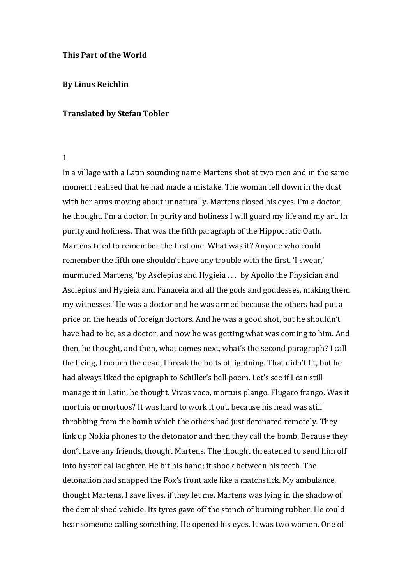#### **This Part of the World**

#### **By Linus Reichlin**

## **Translated by Stefan Tobler**

#### 1

In a village with a Latin sounding name Martens shot at two men and in the same moment realised that he had made a mistake. The woman fell down in the dust with her arms moving about unnaturally. Martens closed his eyes. I'm a doctor, he thought. I'm a doctor. In purity and holiness I will guard my life and my art. In purity and holiness. That was the fifth paragraph of the Hippocratic Oath. Martens tried to remember the first one. What was it? Anyone who could remember the fifth one shouldn't have any trouble with the first. 'I swear,' murmured Martens, 'by Asclepius and Hygieia . . . by Apollo the Physician and Asclepius and Hygieia and Panaceia and all the gods and goddesses, making them my witnesses.' He was a doctor and he was armed because the others had put a price on the heads of foreign doctors. And he was a good shot, but he shouldn't have had to be, as a doctor, and now he was getting what was coming to him. And then, he thought, and then, what comes next, what's the second paragraph? I call the living, I mourn the dead, I break the bolts of lightning. That didn't fit, but he had always liked the epigraph to Schiller's bell poem. Let's see if I can still manage it in Latin, he thought. Vivos voco, mortuis plango. Flugaro frango. Was it mortuis or mortuos? It was hard to work it out, because his head was still throbbing from the bomb which the others had just detonated remotely. They link up Nokia phones to the detonator and then they call the bomb. Because they don't have any friends, thought Martens. The thought threatened to send him off into hysterical laughter. He bit his hand; it shook between his teeth. The detonation had snapped the Fox's front axle like a matchstick. My ambulance, thought Martens. I save lives, if they let me. Martens was lying in the shadow of the demolished vehicle. Its tyres gave off the stench of burning rubber. He could hear someone calling something. He opened his eyes. It was two women. One of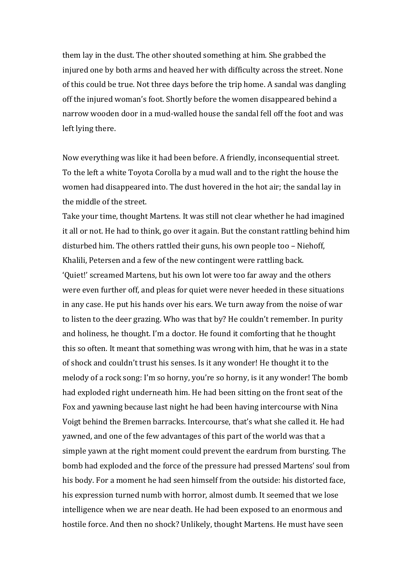them lay in the dust. The other shouted something at him. She grabbed the injured one by both arms and heaved her with difficulty across the street. None of this could be true. Not three days before the trip home. A sandal was dangling off the injured woman's foot. Shortly before the women disappeared behind a narrow wooden door in a mud-walled house the sandal fell off the foot and was left lying there.

Now everything was like it had been before. A friendly, inconsequential street. To the left a white Toyota Corolla by a mud wall and to the right the house the women had disappeared into. The dust hovered in the hot air; the sandal lay in the middle of the street.

Take your time, thought Martens. It was still not clear whether he had imagined it all or not. He had to think, go over it again. But the constant rattling behind him disturbed him. The others rattled their guns, his own people too – Niehoff, Khalili, Petersen and a few of the new contingent were rattling back.

'Quiet!' screamed Martens, but his own lot were too far away and the others were even further off, and pleas for quiet were never heeded in these situations in any case. He put his hands over his ears. We turn away from the noise of war to listen to the deer grazing. Who was that by? He couldn't remember. In purity and holiness, he thought. I'm a doctor. He found it comforting that he thought this so often. It meant that something was wrong with him, that he was in a state of shock and couldn't trust his senses. Is it any wonder! He thought it to the melody of a rock song: I'm so horny, you're so horny, is it any wonder! The bomb had exploded right underneath him. He had been sitting on the front seat of the Fox and yawning because last night he had been having intercourse with Nina Voigt behind the Bremen barracks. Intercourse, that's what she called it. He had yawned, and one of the few advantages of this part of the world was that a simple yawn at the right moment could prevent the eardrum from bursting. The bomb had exploded and the force of the pressure had pressed Martens' soul from his body. For a moment he had seen himself from the outside: his distorted face, his expression turned numb with horror, almost dumb. It seemed that we lose intelligence when we are near death. He had been exposed to an enormous and hostile force. And then no shock? Unlikely, thought Martens. He must have seen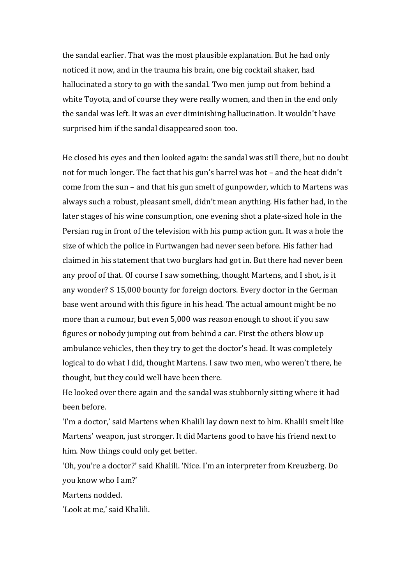the sandal earlier. That was the most plausible explanation. But he had only noticed it now, and in the trauma his brain, one big cocktail shaker, had hallucinated a story to go with the sandal. Two men jump out from behind a white Toyota, and of course they were really women, and then in the end only the sandal was left. It was an ever diminishing hallucination. It wouldn't have surprised him if the sandal disappeared soon too.

He closed his eyes and then looked again: the sandal was still there, but no doubt not for much longer. The fact that his gun's barrel was hot – and the heat didn't come from the sun – and that his gun smelt of gunpowder, which to Martens was always such a robust, pleasant smell, didn't mean anything. His father had, in the later stages of his wine consumption, one evening shot a plate-sized hole in the Persian rug in front of the television with his pump action gun. It was a hole the size of which the police in Furtwangen had never seen before. His father had claimed in his statement that two burglars had got in. But there had never been any proof of that. Of course I saw something, thought Martens, and I shot, is it any wonder? \$ 15,000 bounty for foreign doctors. Every doctor in the German base went around with this figure in his head. The actual amount might be no more than a rumour, but even 5,000 was reason enough to shoot if you saw figures or nobody jumping out from behind a car. First the others blow up ambulance vehicles, then they try to get the doctor's head. It was completely logical to do what I did, thought Martens. I saw two men, who weren't there, he thought, but they could well have been there.

He looked over there again and the sandal was stubbornly sitting where it had been before.

'I'm a doctor,' said Martens when Khalili lay down next to him. Khalili smelt like Martens' weapon, just stronger. It did Martens good to have his friend next to him. Now things could only get better.

'Oh, you're a doctor?' said Khalili. 'Nice. I'm an interpreter from Kreuzberg. Do you know who I am?'

Martens nodded.

'Look at me,' said Khalili.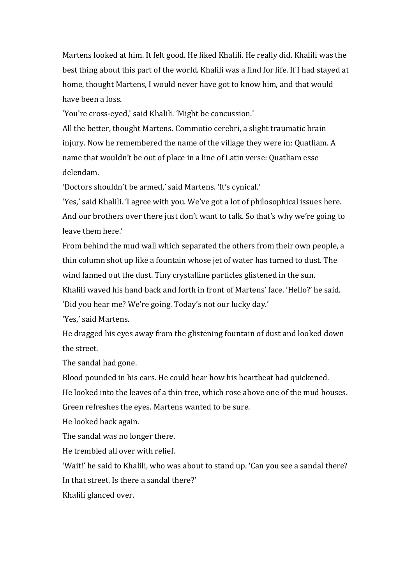Martens looked at him. It felt good. He liked Khalili. He really did. Khalili was the best thing about this part of the world. Khalili was a find for life. If I had stayed at home, thought Martens, I would never have got to know him, and that would have been a loss.

'You're cross-eyed,' said Khalili. 'Might be concussion.'

All the better, thought Martens. Commotio cerebri, a slight traumatic brain injury. Now he remembered the name of the village they were in: Quatliam. A name that wouldn't be out of place in a line of Latin verse: Quatliam esse delendam.

'Doctors shouldn't be armed,' said Martens. 'It's cynical.'

'Yes,' said Khalili. 'I agree with you. We've got a lot of philosophical issues here. And our brothers over there just don't want to talk. So that's why we're going to leave them here.'

From behind the mud wall which separated the others from their own people, a thin column shot up like a fountain whose jet of water has turned to dust. The wind fanned out the dust. Tiny crystalline particles glistened in the sun.

Khalili waved his hand back and forth in front of Martens' face. 'Hello?' he said. 'Did you hear me? We're going. Today's not our lucky day.'

'Yes,' said Martens.

He dragged his eyes away from the glistening fountain of dust and looked down the street.

The sandal had gone.

Blood pounded in his ears. He could hear how his heartbeat had quickened.

He looked into the leaves of a thin tree, which rose above one of the mud houses.

Green refreshes the eyes. Martens wanted to be sure.

He looked back again.

The sandal was no longer there.

He trembled all over with relief.

'Wait!' he said to Khalili, who was about to stand up. 'Can you see a sandal there? In that street. Is there a sandal there?'

Khalili glanced over.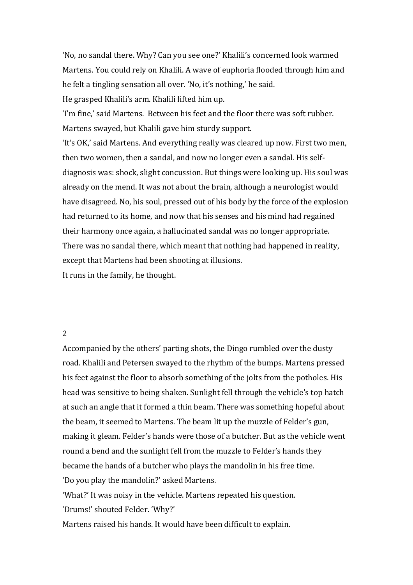'No, no sandal there. Why? Can you see one?' Khalili's concerned look warmed Martens. You could rely on Khalili. A wave of euphoria flooded through him and he felt a tingling sensation all over. 'No, it's nothing,' he said.

He grasped Khalili's arm. Khalili lifted him up.

'I'm fine,' said Martens. Between his feet and the floor there was soft rubber. Martens swayed, but Khalili gave him sturdy support.

'It's OK,' said Martens. And everything really was cleared up now. First two men, then two women, then a sandal, and now no longer even a sandal. His selfdiagnosis was: shock, slight concussion. But things were looking up. His soul was already on the mend. It was not about the brain, although a neurologist would have disagreed. No, his soul, pressed out of his body by the force of the explosion had returned to its home, and now that his senses and his mind had regained their harmony once again, a hallucinated sandal was no longer appropriate. There was no sandal there, which meant that nothing had happened in reality, except that Martens had been shooting at illusions.

It runs in the family, he thought.

# 2

Accompanied by the others' parting shots, the Dingo rumbled over the dusty road. Khalili and Petersen swayed to the rhythm of the bumps. Martens pressed his feet against the floor to absorb something of the jolts from the potholes. His head was sensitive to being shaken. Sunlight fell through the vehicle's top hatch at such an angle that it formed a thin beam. There was something hopeful about the beam, it seemed to Martens. The beam lit up the muzzle of Felder's gun, making it gleam. Felder's hands were those of a butcher. But as the vehicle went round a bend and the sunlight fell from the muzzle to Felder's hands they became the hands of a butcher who plays the mandolin in his free time. 'Do you play the mandolin?' asked Martens.

'What?' It was noisy in the vehicle. Martens repeated his question.

'Drums!' shouted Felder. 'Why?'

Martens raised his hands. It would have been difficult to explain.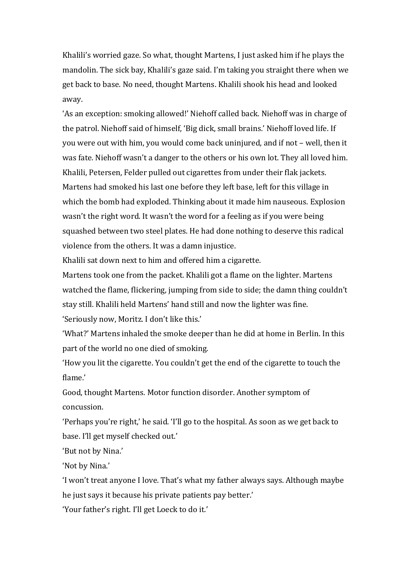Khalili's worried gaze. So what, thought Martens, I just asked him if he plays the mandolin. The sick bay, Khalili's gaze said. I'm taking you straight there when we get back to base. No need, thought Martens. Khalili shook his head and looked away.

'As an exception: smoking allowed!' Niehoff called back. Niehoff was in charge of the patrol. Niehoff said of himself, 'Big dick, small brains.' Niehoff loved life. If you were out with him, you would come back uninjured, and if not – well, then it was fate. Niehoff wasn't a danger to the others or his own lot. They all loved him. Khalili, Petersen, Felder pulled out cigarettes from under their flak jackets. Martens had smoked his last one before they left base, left for this village in which the bomb had exploded. Thinking about it made him nauseous. Explosion wasn't the right word. It wasn't the word for a feeling as if you were being squashed between two steel plates. He had done nothing to deserve this radical violence from the others. It was a damn injustice.

Khalili sat down next to him and offered him a cigarette.

Martens took one from the packet. Khalili got a flame on the lighter. Martens watched the flame, flickering, jumping from side to side; the damn thing couldn't stay still. Khalili held Martens' hand still and now the lighter was fine. 'Seriously now, Moritz. I don't like this.'

'What?' Martens inhaled the smoke deeper than he did at home in Berlin. In this part of the world no one died of smoking.

'How you lit the cigarette. You couldn't get the end of the cigarette to touch the flame.'

Good, thought Martens. Motor function disorder. Another symptom of concussion.

'Perhaps you're right,' he said. 'I'll go to the hospital. As soon as we get back to base. I'll get myself checked out.'

'But not by Nina.'

'Not by Nina.'

'I won't treat anyone I love. That's what my father always says. Although maybe he just says it because his private patients pay better.'

'Your father's right. I'll get Loeck to do it.'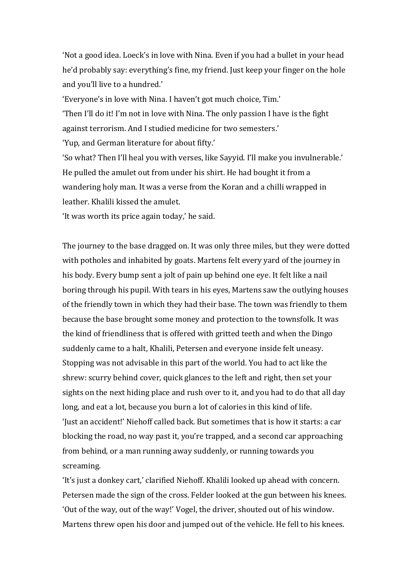'Not a good idea. Loeck's in love with Nina. Even if you had a bullet in your head he'd probably say: everything's fine, my friend. Just keep your finger on the hole and you'll live to a hundred.'

'Everyone's in love with Nina. I haven't got much choice, Tim.' 'Then I'll do it! I'm not in love with Nina. The only passion I have is the fight against terrorism. And I studied medicine for two semesters.' 'Yup, and German literature for about fifty.' 'So what? Then I'll heal you with verses, like Sayyid. I'll make you invulnerable.' He pulled the amulet out from under his shirt. He had bought it from a wandering holy man. It was a verse from the Koran and a chilli wrapped in

leather. Khalili kissed the amulet.

'It was worth its price again today,' he said.

The journey to the base dragged on. It was only three miles, but they were dotted with potholes and inhabited by goats. Martens felt every yard of the journey in his body. Every bump sent a jolt of pain up behind one eye. It felt like a nail boring through his pupil. With tears in his eyes, Martens saw the outlying houses of the friendly town in which they had their base. The town was friendly to them because the base brought some money and protection to the townsfolk. It was the kind of friendliness that is offered with gritted teeth and when the Dingo suddenly came to a halt, Khalili, Petersen and everyone inside felt uneasy. Stopping was not advisable in this part of the world. You had to act like the shrew: scurry behind cover, quick glances to the left and right, then set your sights on the next hiding place and rush over to it, and you had to do that all day long, and eat a lot, because you burn a lot of calories in this kind of life. 'Just an accident!' Niehoff called back. But sometimes that is how it starts: a car blocking the road, no way past it, you're trapped, and a second car approaching from behind, or a man running away suddenly, or running towards you screaming.

'It's just a donkey cart,' clarified Niehoff. Khalili looked up ahead with concern. Petersen made the sign of the cross. Felder looked at the gun between his knees. 'Out of the way, out of the way!' Vogel, the driver, shouted out of his window. Martens threw open his door and jumped out of the vehicle. He fell to his knees.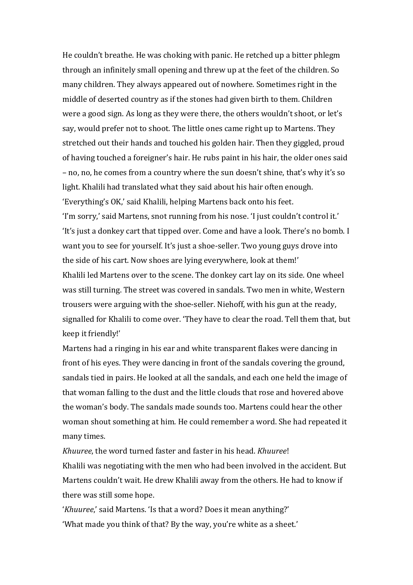He couldn't breathe. He was choking with panic. He retched up a bitter phlegm through an infinitely small opening and threw up at the feet of the children. So many children. They always appeared out of nowhere. Sometimes right in the middle of deserted country as if the stones had given birth to them. Children were a good sign. As long as they were there, the others wouldn't shoot, or let's say, would prefer not to shoot. The little ones came right up to Martens. They stretched out their hands and touched his golden hair. Then they giggled, proud of having touched a foreigner's hair. He rubs paint in his hair, the older ones said – no, no, he comes from a country where the sun doesn't shine, that's why it's so light. Khalili had translated what they said about his hair often enough. 'Everything's OK,' said Khalili, helping Martens back onto his feet. 'I'm sorry,' said Martens, snot running from his nose. 'I just couldn't control it.' 'It's just a donkey cart that tipped over. Come and have a look. There's no bomb. I want you to see for yourself. It's just a shoe-seller. Two young guys drove into the side of his cart. Now shoes are lying everywhere, look at them!' Khalili led Martens over to the scene. The donkey cart lay on its side. One wheel was still turning. The street was covered in sandals. Two men in white, Western trousers were arguing with the shoe-seller. Niehoff, with his gun at the ready, signalled for Khalili to come over. 'They have to clear the road. Tell them that, but keep it friendly!'

Martens had a ringing in his ear and white transparent flakes were dancing in front of his eyes. They were dancing in front of the sandals covering the ground, sandals tied in pairs. He looked at all the sandals, and each one held the image of that woman falling to the dust and the little clouds that rose and hovered above the woman's body. The sandals made sounds too. Martens could hear the other woman shout something at him. He could remember a word. She had repeated it many times.

*Khuuree*, the word turned faster and faster in his head. *Khuuree*! Khalili was negotiating with the men who had been involved in the accident. But Martens couldn't wait. He drew Khalili away from the others. He had to know if there was still some hope.

'*Khuuree*,' said Martens. 'Is that a word? Does it mean anything?' 'What made you think of that? By the way, you're white as a sheet.'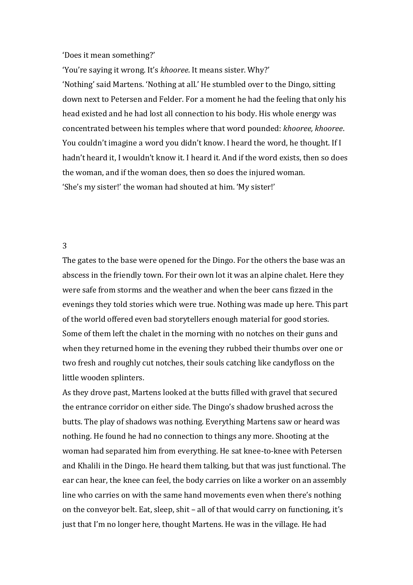#### 'Does it mean something?'

'You're saying it wrong. It's *khooree*. It means sister. Why?'

'Nothing' said Martens. 'Nothing at all.' He stumbled over to the Dingo, sitting down next to Petersen and Felder. For a moment he had the feeling that only his head existed and he had lost all connection to his body. His whole energy was concentrated between his temples where that word pounded: *khooree, khooree*. You couldn't imagine a word you didn't know. I heard the word, he thought. If I hadn't heard it, I wouldn't know it. I heard it. And if the word exists, then so does the woman, and if the woman does, then so does the injured woman. 'She's my sister!' the woman had shouted at him. 'My sister!'

### 3

The gates to the base were opened for the Dingo. For the others the base was an abscess in the friendly town. For their own lot it was an alpine chalet. Here they were safe from storms and the weather and when the beer cans fizzed in the evenings they told stories which were true. Nothing was made up here. This part of the world offered even bad storytellers enough material for good stories. Some of them left the chalet in the morning with no notches on their guns and when they returned home in the evening they rubbed their thumbs over one or two fresh and roughly cut notches, their souls catching like candyfloss on the little wooden splinters.

As they drove past, Martens looked at the butts filled with gravel that secured the entrance corridor on either side. The Dingo's shadow brushed across the butts. The play of shadows was nothing. Everything Martens saw or heard was nothing. He found he had no connection to things any more. Shooting at the woman had separated him from everything. He sat knee-to-knee with Petersen and Khalili in the Dingo. He heard them talking, but that was just functional. The ear can hear, the knee can feel, the body carries on like a worker on an assembly line who carries on with the same hand movements even when there's nothing on the conveyor belt. Eat, sleep, shit – all of that would carry on functioning, it's just that I'm no longer here, thought Martens. He was in the village. He had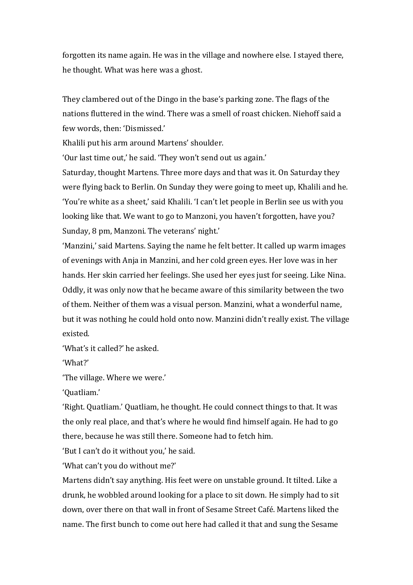forgotten its name again. He was in the village and nowhere else. I stayed there, he thought. What was here was a ghost.

They clambered out of the Dingo in the base's parking zone. The flags of the nations fluttered in the wind. There was a smell of roast chicken. Niehoff said a few words, then: 'Dismissed.'

Khalili put his arm around Martens' shoulder.

'Our last time out,' he said. 'They won't send out us again.'

Saturday, thought Martens. Three more days and that was it. On Saturday they were flying back to Berlin. On Sunday they were going to meet up, Khalili and he. 'You're white as a sheet,' said Khalili. 'I can't let people in Berlin see us with you looking like that. We want to go to Manzoni, you haven't forgotten, have you? Sunday, 8 pm, Manzoni. The veterans' night.'

'Manzini,' said Martens. Saying the name he felt better. It called up warm images of evenings with Anja in Manzini, and her cold green eyes. Her love was in her hands. Her skin carried her feelings. She used her eyes just for seeing. Like Nina. Oddly, it was only now that he became aware of this similarity between the two of them. Neither of them was a visual person. Manzini, what a wonderful name, but it was nothing he could hold onto now. Manzini didn't really exist. The village existed.

'What's it called?' he asked.

'What?'

'The village. Where we were.'

'Quatliam.'

'Right. Quatliam.' Quatliam, he thought. He could connect things to that. It was the only real place, and that's where he would find himself again. He had to go there, because he was still there. Someone had to fetch him.

'But I can't do it without you,' he said.

'What can't you do without me?'

Martens didn't say anything. His feet were on unstable ground. It tilted. Like a drunk, he wobbled around looking for a place to sit down. He simply had to sit down, over there on that wall in front of Sesame Street Café. Martens liked the name. The first bunch to come out here had called it that and sung the Sesame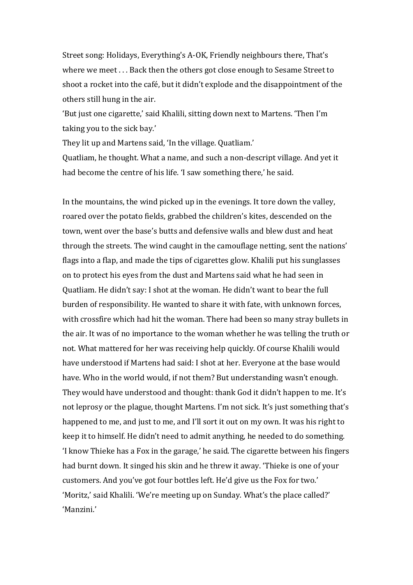Street song: Holidays, Everything's A-OK, Friendly neighbours there, That's where we meet . . . Back then the others got close enough to Sesame Street to shoot a rocket into the café, but it didn't explode and the disappointment of the others still hung in the air.

'But just one cigarette,' said Khalili, sitting down next to Martens. 'Then I'm taking you to the sick bay.'

They lit up and Martens said, 'In the village. Quatliam.'

Quatliam, he thought. What a name, and such a non-descript village. And yet it had become the centre of his life. 'I saw something there,' he said.

In the mountains, the wind picked up in the evenings. It tore down the valley, roared over the potato fields, grabbed the children's kites, descended on the town, went over the base's butts and defensive walls and blew dust and heat through the streets. The wind caught in the camouflage netting, sent the nations' flags into a flap, and made the tips of cigarettes glow. Khalili put his sunglasses on to protect his eyes from the dust and Martens said what he had seen in Quatliam. He didn't say: I shot at the woman. He didn't want to bear the full burden of responsibility. He wanted to share it with fate, with unknown forces, with crossfire which had hit the woman. There had been so many stray bullets in the air. It was of no importance to the woman whether he was telling the truth or not. What mattered for her was receiving help quickly. Of course Khalili would have understood if Martens had said: I shot at her. Everyone at the base would have. Who in the world would, if not them? But understanding wasn't enough. They would have understood and thought: thank God it didn't happen to me. It's not leprosy or the plague, thought Martens. I'm not sick. It's just something that's happened to me, and just to me, and I'll sort it out on my own. It was his right to keep it to himself. He didn't need to admit anything, he needed to do something. 'I know Thieke has a Fox in the garage,' he said. The cigarette between his fingers had burnt down. It singed his skin and he threw it away. 'Thieke is one of your customers. And you've got four bottles left. He'd give us the Fox for two.' 'Moritz,' said Khalili. 'We're meeting up on Sunday. What's the place called?' 'Manzini.'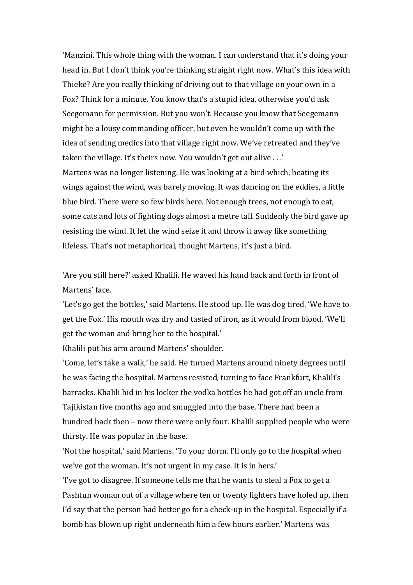'Manzini. This whole thing with the woman. I can understand that it's doing your head in. But I don't think you're thinking straight right now. What's this idea with Thieke? Are you really thinking of driving out to that village on your own in a Fox? Think for a minute. You know that's a stupid idea, otherwise you'd ask Seegemann for permission. But you won't. Because you know that Seegemann might be a lousy commanding officer, but even he wouldn't come up with the idea of sending medics into that village right now. We've retreated and they've taken the village. It's theirs now. You wouldn't get out alive . . .'

Martens was no longer listening. He was looking at a bird which, beating its wings against the wind, was barely moving. It was dancing on the eddies, a little blue bird. There were so few birds here. Not enough trees, not enough to eat, some cats and lots of fighting dogs almost a metre tall. Suddenly the bird gave up resisting the wind. It let the wind seize it and throw it away like something lifeless. That's not metaphorical, thought Martens, it's just a bird.

'Are you still here?' asked Khalili. He waved his hand back and forth in front of Martens' face.

'Let's go get the bottles,' said Martens. He stood up. He was dog tired. 'We have to get the Fox.' His mouth was dry and tasted of iron, as it would from blood. 'We'll get the woman and bring her to the hospital.'

Khalili put his arm around Martens' shoulder.

'Come, let's take a walk,' he said. He turned Martens around ninety degrees until he was facing the hospital. Martens resisted, turning to face Frankfurt, Khalili's barracks. Khalili hid in his locker the vodka bottles he had got off an uncle from Tajikistan five months ago and smuggled into the base. There had been a hundred back then – now there were only four. Khalili supplied people who were thirsty. He was popular in the base.

'Not the hospital,' said Martens. 'To your dorm. I'll only go to the hospital when we've got the woman. It's not urgent in my case. It is in hers.'

'I've got to disagree. If someone tells me that he wants to steal a Fox to get a Pashtun woman out of a village where ten or twenty fighters have holed up, then I'd say that the person had better go for a check-up in the hospital. Especially if a bomb has blown up right underneath him a few hours earlier.' Martens was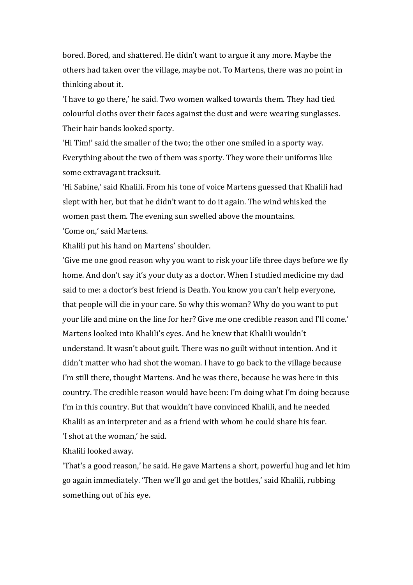bored. Bored, and shattered. He didn't want to argue it any more. Maybe the others had taken over the village, maybe not. To Martens, there was no point in thinking about it.

'I have to go there,' he said. Two women walked towards them. They had tied colourful cloths over their faces against the dust and were wearing sunglasses. Their hair bands looked sporty.

'Hi Tim!' said the smaller of the two; the other one smiled in a sporty way. Everything about the two of them was sporty. They wore their uniforms like some extravagant tracksuit.

'Hi Sabine,' said Khalili. From his tone of voice Martens guessed that Khalili had slept with her, but that he didn't want to do it again. The wind whisked the women past them. The evening sun swelled above the mountains.

'Come on,' said Martens.

Khalili put his hand on Martens' shoulder.

'Give me one good reason why you want to risk your life three days before we fly home. And don't say it's your duty as a doctor. When I studied medicine my dad said to me: a doctor's best friend is Death. You know you can't help everyone, that people will die in your care. So why this woman? Why do you want to put your life and mine on the line for her? Give me one credible reason and I'll come.' Martens looked into Khalili's eyes. And he knew that Khalili wouldn't understand. It wasn't about guilt. There was no guilt without intention. And it didn't matter who had shot the woman. I have to go back to the village because I'm still there, thought Martens. And he was there, because he was here in this country. The credible reason would have been: I'm doing what I'm doing because I'm in this country. But that wouldn't have convinced Khalili, and he needed Khalili as an interpreter and as a friend with whom he could share his fear. 'I shot at the woman,' he said.

Khalili looked away.

'That's a good reason,' he said. He gave Martens a short, powerful hug and let him go again immediately. 'Then we'll go and get the bottles,' said Khalili, rubbing something out of his eye.